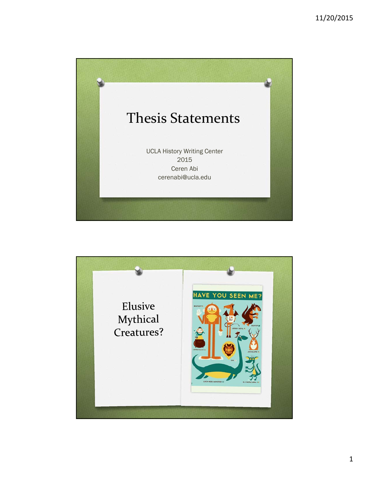

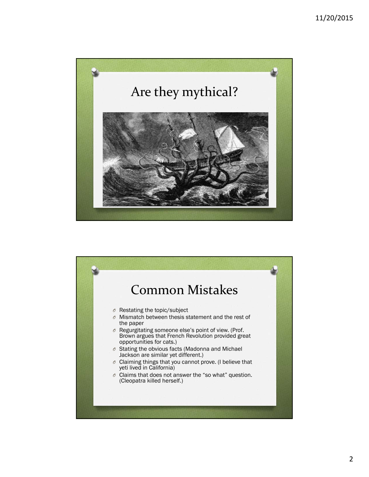

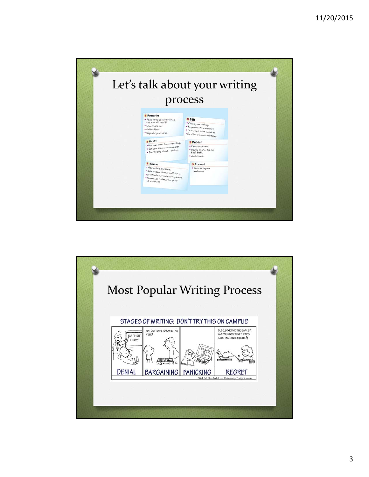

![](_page_2_Figure_2.jpeg)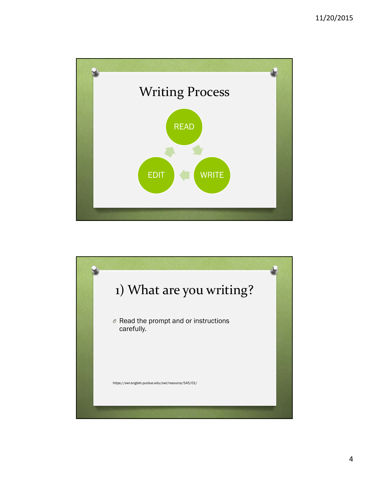![](_page_3_Figure_1.jpeg)

![](_page_3_Picture_2.jpeg)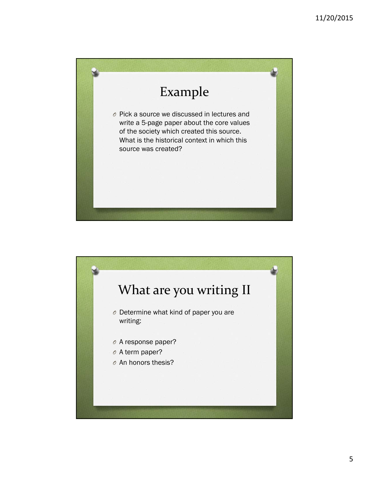![](_page_4_Picture_1.jpeg)

![](_page_4_Picture_2.jpeg)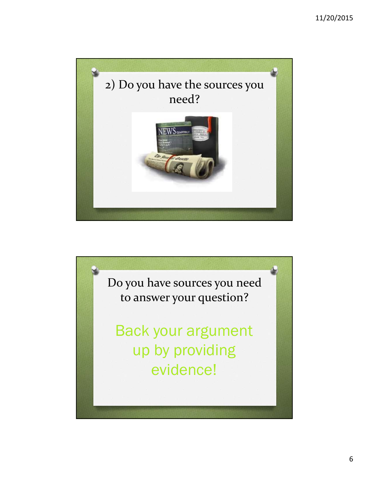![](_page_5_Picture_1.jpeg)

![](_page_5_Picture_2.jpeg)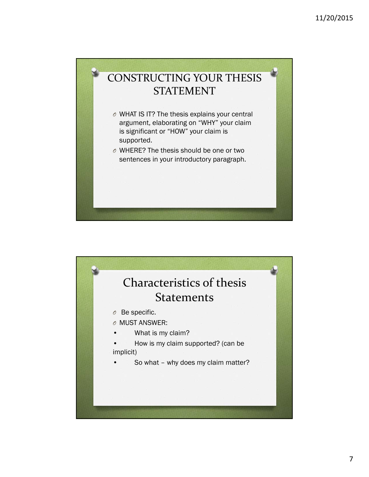![](_page_6_Picture_1.jpeg)

![](_page_6_Picture_2.jpeg)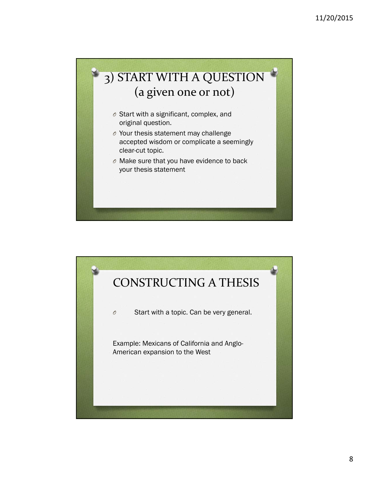![](_page_7_Picture_1.jpeg)

![](_page_7_Picture_2.jpeg)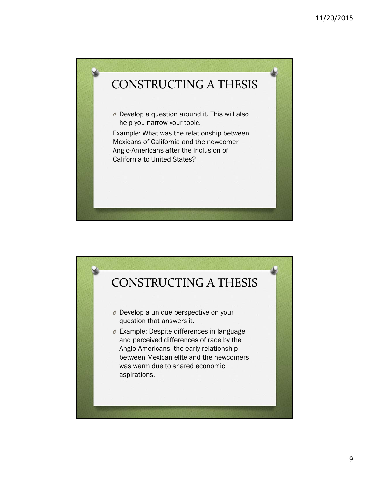![](_page_8_Picture_1.jpeg)

![](_page_8_Picture_2.jpeg)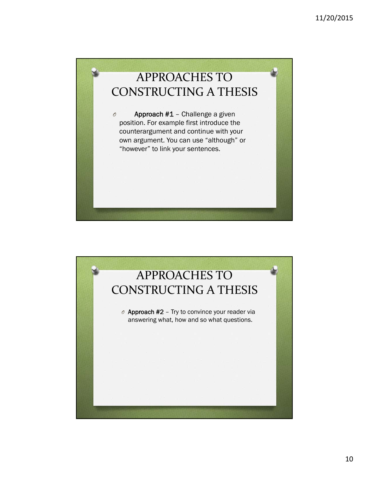![](_page_9_Picture_1.jpeg)

![](_page_9_Picture_2.jpeg)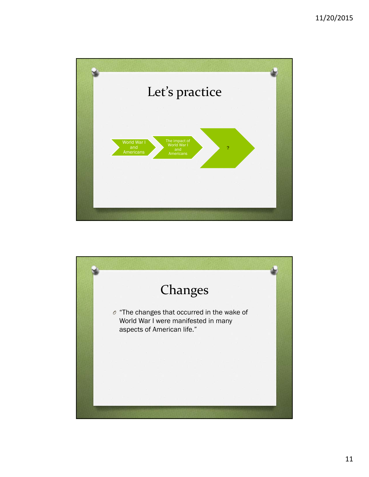![](_page_10_Picture_1.jpeg)

![](_page_10_Picture_2.jpeg)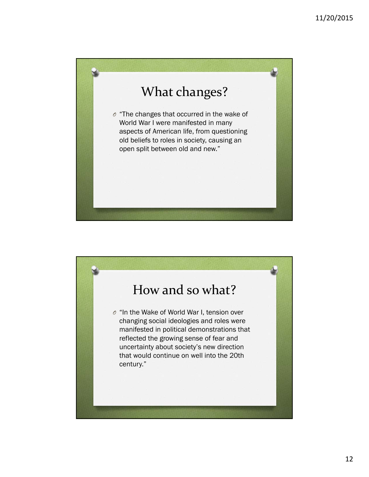![](_page_11_Picture_1.jpeg)

![](_page_11_Picture_2.jpeg)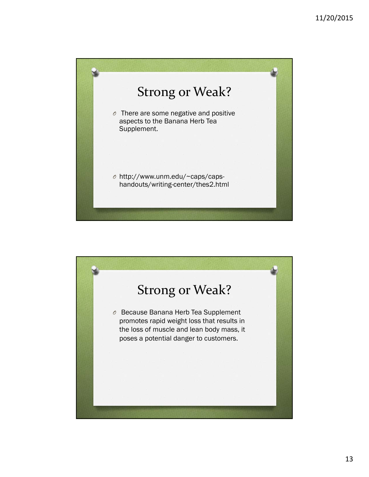![](_page_12_Picture_1.jpeg)

![](_page_12_Picture_2.jpeg)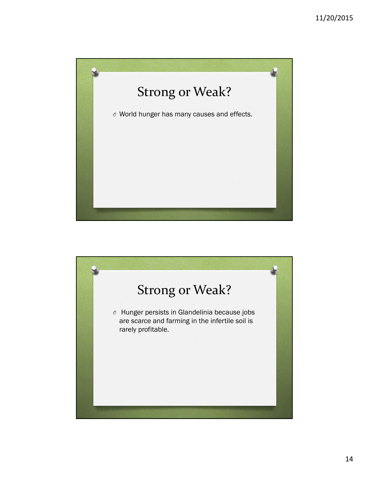![](_page_13_Picture_1.jpeg)

![](_page_13_Picture_2.jpeg)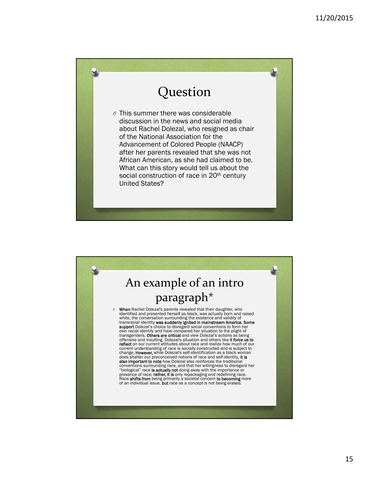![](_page_14_Picture_1.jpeg)

![](_page_14_Picture_2.jpeg)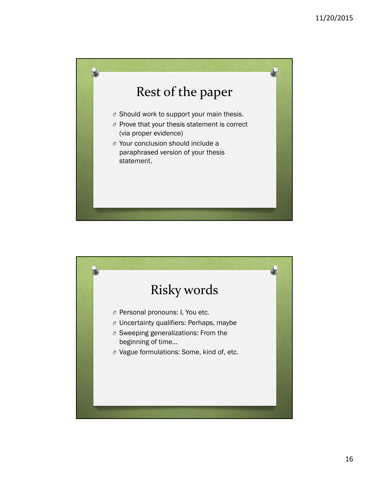![](_page_15_Picture_1.jpeg)

![](_page_15_Picture_2.jpeg)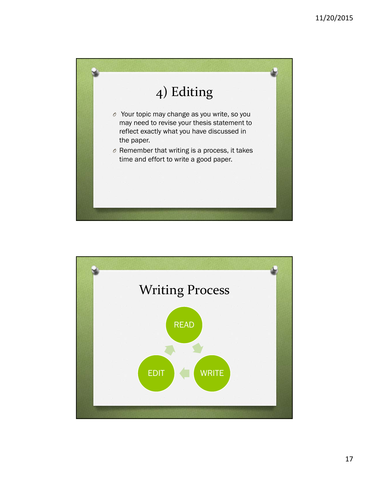![](_page_16_Picture_1.jpeg)

![](_page_16_Figure_2.jpeg)